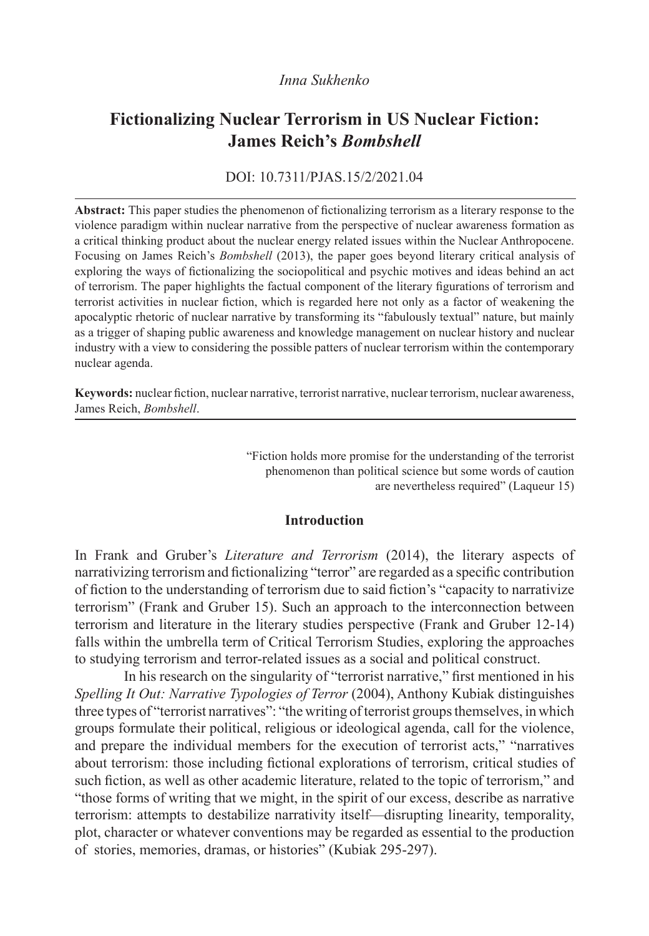# *Inna Sukhenko*

# **Fictionalizing Nuclear Terrorism in US Nuclear Fiction: James Reich's** *Bombshell*

## DOI: 10.7311/PJAS.15/2/2021.04

**Abstract:** This paper studies the phenomenon of fictionalizing terrorism as a literary response to the violence paradigm within nuclear narrative from the perspective of nuclear awareness formation as a critical thinking product about the nuclear energy related issues within the Nuclear Anthropocene. Focusing on James Reich's *Bombshell* (2013), the paper goes beyond literary critical analysis of exploring the ways of fictionalizing the sociopolitical and psychic motives and ideas behind an act of terrorism. The paper highlights the factual component of the literary figurations of terrorism and terrorist activities in nuclear fiction, which is regarded here not only as a factor of weakening the apocalyptic rhetoric of nuclear narrative by transforming its "fabulously textual" nature, but mainly as a trigger of shaping public awareness and knowledge management on nuclear history and nuclear industry with a view to considering the possible patters of nuclear terrorism within the contemporary nuclear agenda.

**Keywords:** nuclear fiction, nuclear narrative, terrorist narrative, nuclear terrorism, nuclear awareness, James Reich, *Bombshell*.

> "Fiction holds more promise for the understanding of the terrorist phenomenon than political science but some words of caution are nevertheless required" (Laqueur 15)

#### **Introduction**

In Frank and Gruber's *Literature and Terrorism* (2014), the literary aspects of narrativizing terrorism and fictionalizing "terror" are regarded as a specific contribution of fiction to the understanding of terrorism due to said fiction's "capacity to narrativize terrorism" (Frank and Gruber 15). Such an approach to the interconnection between terrorism and literature in the literary studies perspective (Frank and Gruber 12-14) falls within the umbrella term of Critical Terrorism Studies, exploring the approaches to studying terrorism and terror-related issues as a social and political construct.

In his research on the singularity of "terrorist narrative," first mentioned in his *Spelling It Out: Narrative Typologies of Terror* (2004), Anthony Kubiak distinguishes three types of "terrorist narratives": "the writing of terrorist groups themselves, in which groups formulate their political, religious or ideological agenda, call for the violence, and prepare the individual members for the execution of terrorist acts," "narratives about terrorism: those including fictional explorations of terrorism, critical studies of such fiction, as well as other academic literature, related to the topic of terrorism," and "those forms of writing that we might, in the spirit of our excess, describe as narrative terrorism: attempts to destabilize narrativity itself—disrupting linearity, temporality, plot, character or whatever conventions may be regarded as essential to the production of stories, memories, dramas, or histories" (Kubiak 295-297).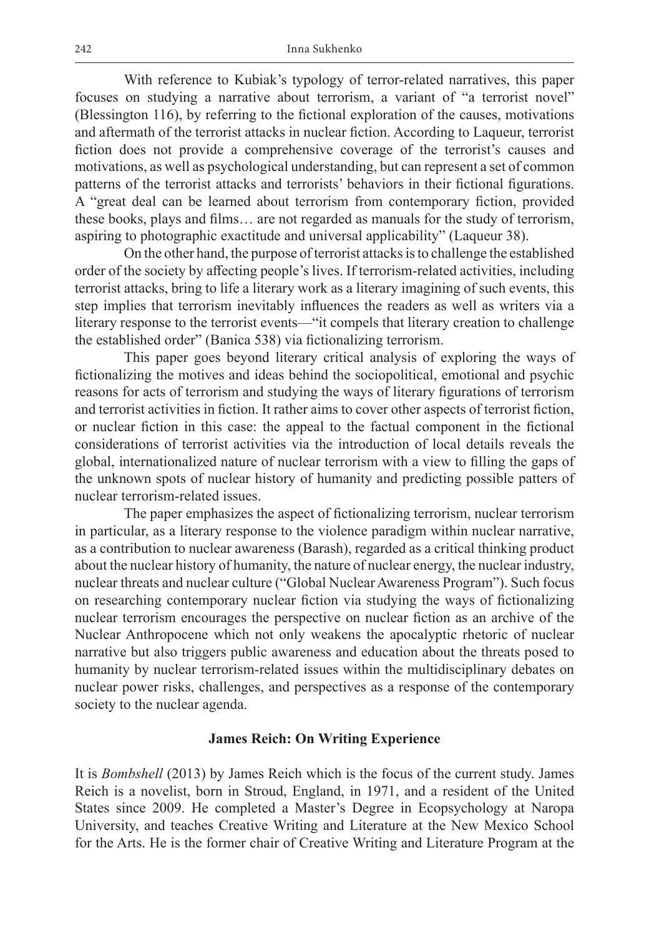With reference to Kubiak's typology of terror-related narratives, this paper focuses on studying a narrative about terrorism, a variant of "a terrorist novel" (Blessington 116), by referring to the fictional exploration of the causes, motivations and aftermath of the terrorist attacks in nuclear fiction. According to Laqueur, terrorist fiction does not provide a comprehensive coverage of the terrorist's causes and motivations, as well as psychological understanding, but can represent a set of common patterns of the terrorist attacks and terrorists' behaviors in their fictional figurations. A "great deal can be learned about terrorism from contemporary fiction, provided these books, plays and films… are not regarded as manuals for the study of terrorism, aspiring to photographic exactitude and universal applicability" (Laqueur 38).

On the other hand, the purpose of terrorist attacks is to challenge the established order of the society by affecting people's lives. If terrorism-related activities, including terrorist attacks, bring to life a literary work as a literary imagining of such events, this step implies that terrorism inevitably influences the readers as well as writers via a literary response to the terrorist events—"it compels that literary creation to challenge the established order" (Banica 538) via fictionalizing terrorism.

This paper goes beyond literary critical analysis of exploring the ways of fictionalizing the motives and ideas behind the sociopolitical, emotional and psychic reasons for acts of terrorism and studying the ways of literary figurations of terrorism and terrorist activities in fiction. It rather aims to cover other aspects of terrorist fiction, or nuclear fiction in this case: the appeal to the factual component in the fictional considerations of terrorist activities via the introduction of local details reveals the global, internationalized nature of nuclear terrorism with a view to filling the gaps of the unknown spots of nuclear history of humanity and predicting possible patters of nuclear terrorism-related issues.

The paper emphasizes the aspect of fictionalizing terrorism, nuclear terrorism in particular, as a literary response to the violence paradigm within nuclear narrative, as a contribution to nuclear awareness (Barash), regarded as a critical thinking product about the nuclear history of humanity, the nature of nuclear energy, the nuclear industry, nuclear threats and nuclear culture ("Global Nuclear Awareness Program"). Such focus on researching contemporary nuclear fiction via studying the ways of fictionalizing nuclear terrorism encourages the perspective on nuclear fiction as an archive of the Nuclear Anthropocene which not only weakens the apocalyptic rhetoric of nuclear narrative but also triggers public awareness and education about the threats posed to humanity by nuclear terrorism-related issues within the multidisciplinary debates on nuclear power risks, challenges, and perspectives as a response of the contemporary society to the nuclear agenda.

# **James Reich: On Writing Experience**

It is *Bombshell* (2013) by James Reich which is the focus of the current study. James Reich is a novelist, born in Stroud, England, in 1971, and a resident of the United States since 2009. He completed a Master's Degree in Ecopsychology at Naropa University, and teaches Creative Writing and Literature at the New Mexico School for the Arts. He is the former chair of Creative Writing and Literature Program at the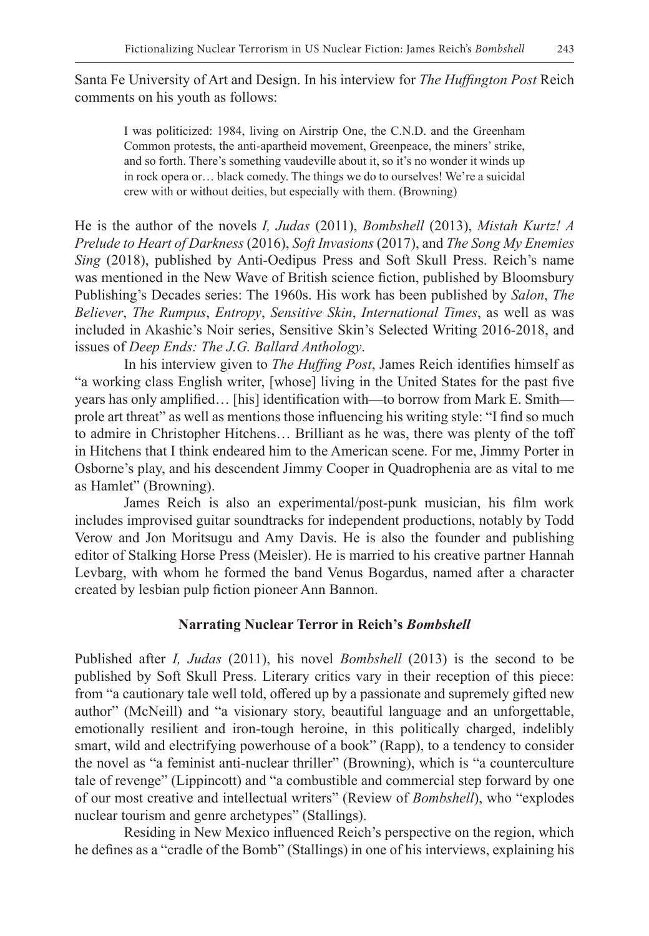Santa Fe University of Art and Design. In his interview for *The Huffington Post* Reich comments on his youth as follows:

I was politicized: 1984, living on Airstrip One, the C.N.D. and the Greenham Common protests, the anti-apartheid movement, Greenpeace, the miners' strike, and so forth. There's something vaudeville about it, so it's no wonder it winds up in rock opera or… black comedy. The things we do to ourselves! We're a suicidal crew with or without deities, but especially with them. (Browning)

He is the author of the novels *I, Judas* (2011), *Bombshell* (2013), *Mistah Kurtz! A Prelude to Heart of Darkness* (2016), *Soft Invasions* (2017), and *The Song My Enemies Sing* (2018), published by Anti-Oedipus Press and Soft Skull Press. Reich's name was mentioned in the New Wave of British science fiction, published by Bloomsbury Publishing's Decades series: The 1960s. His work has been published by *Salon*, *The Believer*, *The Rumpus*, *Entropy*, *Sensitive Skin*, *International Times*, as well as was included in Akashic's Noir series, Sensitive Skin's Selected Writing 2016-2018, and issues of *Deep Ends: The J.G. Ballard Anthology*.

In his interview given to *The Huffing Post*, James Reich identifies himself as "a working class English writer, [whose] living in the United States for the past five years has only amplified… [his] identification with—to borrow from Mark E. Smith prole art threat" as well as mentions those influencing his writing style: "I find so much to admire in Christopher Hitchens… Brilliant as he was, there was plenty of the toff in Hitchens that I think endeared him to the American scene. For me, Jimmy Porter in Osborne's play, and his descendent Jimmy Cooper in Quadrophenia are as vital to me as Hamlet" (Browning).

James Reich is also an experimental/post-punk musician, his film work includes improvised guitar soundtracks for independent productions, notably by Todd Verow and Jon Moritsugu and Amy Davis. He is also the founder and publishing editor of Stalking Horse Press (Meisler). He is married to his creative partner Hannah Levbarg, with whom he formed the band Venus Bogardus, named after a character created by lesbian pulp fiction pioneer Ann Bannon.

## **Narrating Nuclear Terror in Reich's** *Bombshell*

Published after *I, Judas* (2011), his novel *Bombshell* (2013) is the second to be published by Soft Skull Press. Literary critics vary in their reception of this piece: from "a cautionary tale well told, offered up by a passionate and supremely gifted new author" (McNeill) and "a visionary story, beautiful language and an unforgettable, emotionally resilient and iron-tough heroine, in this politically charged, indelibly smart, wild and electrifying powerhouse of a book" (Rapp), to a tendency to consider the novel as "a feminist anti-nuclear thriller" (Browning), which is "a counterculture tale of revenge" (Lippincott) and "a combustible and commercial step forward by one of our most creative and intellectual writers" (Review of *Bombshell*), who "explodes nuclear tourism and genre archetypes" (Stallings).

Residing in New Mexico influenced Reich's perspective on the region, which he defines as a "cradle of the Bomb" (Stallings) in one of his interviews, explaining his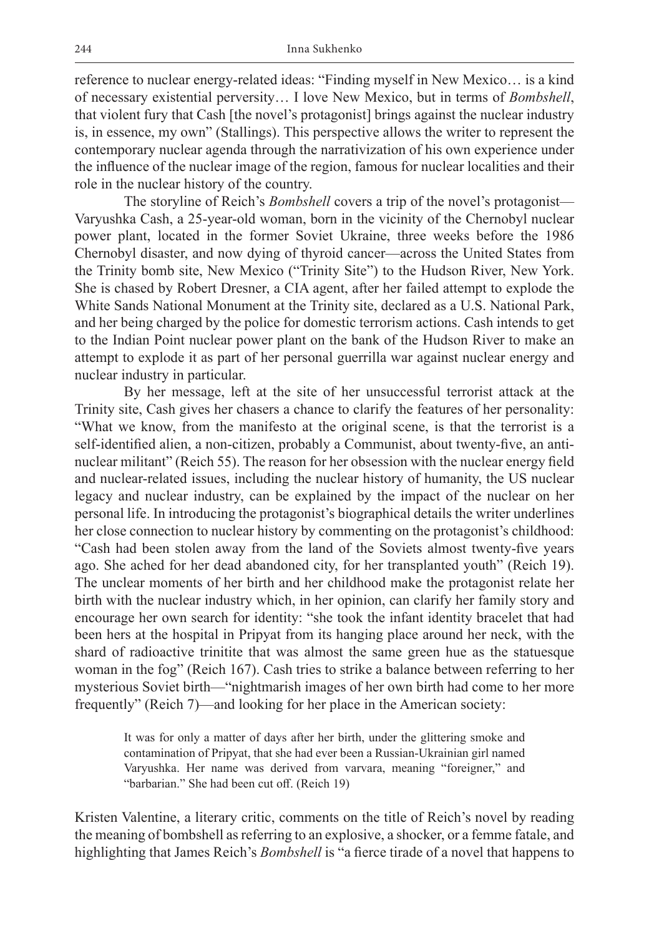reference to nuclear energy-related ideas: "Finding myself in New Mexico… is a kind of necessary existential perversity… I love New Mexico, but in terms of *Bombshell*, that violent fury that Cash [the novel's protagonist] brings against the nuclear industry is, in essence, my own" (Stallings). This perspective allows the writer to represent the contemporary nuclear agenda through the narrativization of his own experience under the influence of the nuclear image of the region, famous for nuclear localities and their role in the nuclear history of the country.

The storyline of Reich's *Bombshell* covers a trip of the novel's protagonist— Varyushka Cash, a 25-year-old woman, born in the vicinity of the Chernobyl nuclear power plant, located in the former Soviet Ukraine, three weeks before the 1986 Chernobyl disaster, and now dying of thyroid cancer—across the United States from the Trinity bomb site, New Mexico ("Trinity Site") to the Hudson River, New York. She is chased by Robert Dresner, a CIA agent, after her failed attempt to explode the White Sands National Monument at the Trinity site, declared as a U.S. National Park, and her being charged by the police for domestic terrorism actions. Cash intends to get to the Indian Point nuclear power plant on the bank of the Hudson River to make an attempt to explode it as part of her personal guerrilla war against nuclear energy and nuclear industry in particular.

By her message, left at the site of her unsuccessful terrorist attack at the Trinity site, Cash gives her chasers a chance to clarify the features of her personality: "What we know, from the manifesto at the original scene, is that the terrorist is a self-identified alien, a non-citizen, probably a Communist, about twenty-five, an antinuclear militant" (Reich 55). The reason for her obsession with the nuclear energy field and nuclear-related issues, including the nuclear history of humanity, the US nuclear legacy and nuclear industry, can be explained by the impact of the nuclear on her personal life. In introducing the protagonist's biographical details the writer underlines her close connection to nuclear history by commenting on the protagonist's childhood: "Cash had been stolen away from the land of the Soviets almost twenty-five years ago. She ached for her dead abandoned city, for her transplanted youth" (Reich 19). The unclear moments of her birth and her childhood make the protagonist relate her birth with the nuclear industry which, in her opinion, can clarify her family story and encourage her own search for identity: "she took the infant identity bracelet that had been hers at the hospital in Pripyat from its hanging place around her neck, with the shard of radioactive trinitite that was almost the same green hue as the statuesque woman in the fog" (Reich 167). Cash tries to strike a balance between referring to her mysterious Soviet birth—"nightmarish images of her own birth had come to her more frequently" (Reich 7)—and looking for her place in the American society:

It was for only a matter of days after her birth, under the glittering smoke and contamination of Pripyat, that she had ever been a Russian-Ukrainian girl named Varyushka. Her name was derived from varvara, meaning "foreigner," and "barbarian." She had been cut off. (Reich 19)

Kristen Valentine, a literary critic, comments on the title of Reich's novel by reading the meaning of bombshell as referring to an explosive, a shocker, or a femme fatale, and highlighting that James Reich's *Bombshell* is "a fierce tirade of a novel that happens to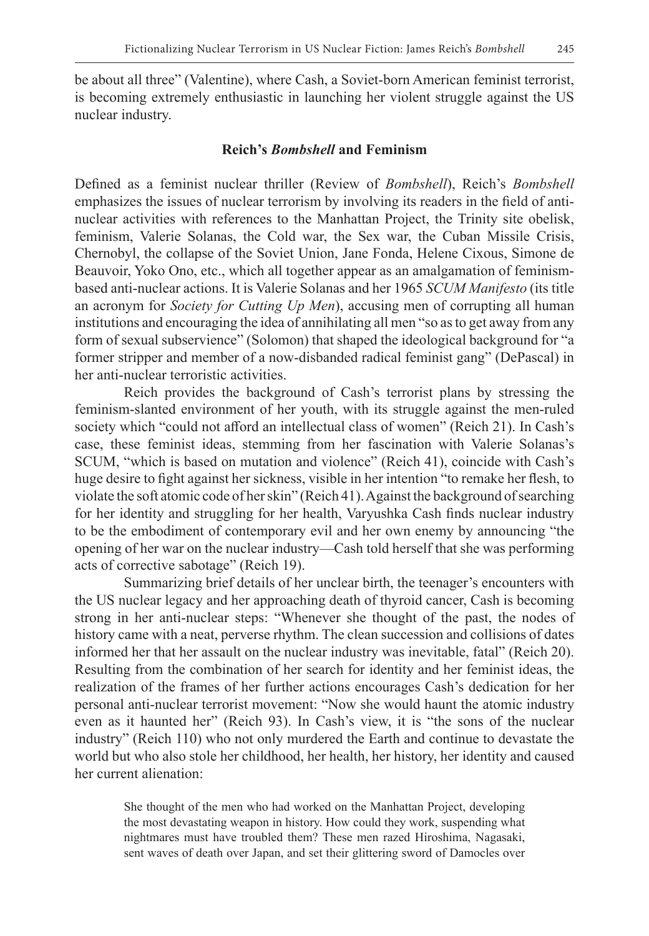be about all three" (Valentine), where Cash, a Soviet-born American feminist terrorist, is becoming extremely enthusiastic in launching her violent struggle against the US nuclear industry.

#### **Reich's** *Bombshell* **and Feminism**

Defined as a feminist nuclear thriller (Review of *Bombshell*), Reich's *Bombshell* emphasizes the issues of nuclear terrorism by involving its readers in the field of antinuclear activities with references to the Manhattan Project, the Trinity site obelisk, feminism, Valerie Solanas, the Cold war, the Sex war, the Cuban Missile Crisis, Chernobyl, the collapse of the Soviet Union, Jane Fonda, Helene Cixous, Simone de Beauvoir, Yoko Ono, etc., which all together appear as an amalgamation of feminismbased anti-nuclear actions. It is Valerie Solanas and her 1965 *SCUM Manifesto* (its title an acronym for *Society for Cutting Up Men*), accusing men of corrupting all human institutions and encouraging the idea of annihilating all men "so as to get away from any form of sexual subservience" (Solomon) that shaped the ideological background for "a former stripper and member of a now-disbanded radical feminist gang" (DePascal) in her anti-nuclear terroristic activities.

Reich provides the background of Cash's terrorist plans by stressing the feminism-slanted environment of her youth, with its struggle against the men-ruled society which "could not afford an intellectual class of women" (Reich 21). In Cash's case, these feminist ideas, stemming from her fascination with Valerie Solanas's SCUM, "which is based on mutation and violence" (Reich 41), coincide with Cash's huge desire to fight against her sickness, visible in her intention "to remake her flesh, to violate the soft atomic code of her skin" (Reich 41). Against the background of searching for her identity and struggling for her health, Varyushka Cash finds nuclear industry to be the embodiment of contemporary evil and her own enemy by announcing "the opening of her war on the nuclear industry—Cash told herself that she was performing acts of corrective sabotage" (Reich 19).

Summarizing brief details of her unclear birth, the teenager's encounters with the US nuclear legacy and her approaching death of thyroid cancer, Cash is becoming strong in her anti-nuclear steps: "Whenever she thought of the past, the nodes of history came with a neat, perverse rhythm. The clean succession and collisions of dates informed her that her assault on the nuclear industry was inevitable, fatal" (Reich 20). Resulting from the combination of her search for identity and her feminist ideas, the realization of the frames of her further actions encourages Cash's dedication for her personal anti-nuclear terrorist movement: "Now she would haunt the atomic industry even as it haunted her" (Reich 93). In Cash's view, it is "the sons of the nuclear industry" (Reich 110) who not only murdered the Earth and continue to devastate the world but who also stole her childhood, her health, her history, her identity and caused her current alienation:

She thought of the men who had worked on the Manhattan Project, developing the most devastating weapon in history. How could they work, suspending what nightmares must have troubled them? These men razed Hiroshima, Nagasaki, sent waves of death over Japan, and set their glittering sword of Damocles over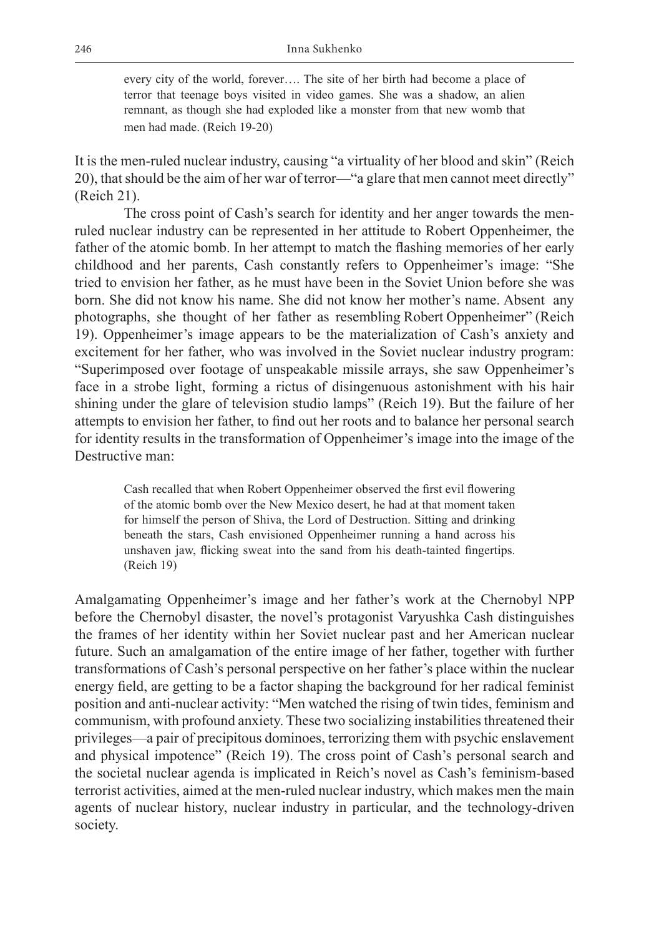every city of the world, forever…. The site of her birth had become a place of terror that teenage boys visited in video games. She was a shadow, an alien remnant, as though she had exploded like a monster from that new womb that men had made. (Reich 19-20)

It is the men-ruled nuclear industry, causing "a virtuality of her blood and skin" (Reich 20), that should be the aim of her war of terror—"a glare that men cannot meet directly" (Reich 21).

The cross point of Cash's search for identity and her anger towards the menruled nuclear industry can be represented in her attitude to Robert Oppenheimer, the father of the atomic bomb. In her attempt to match the flashing memories of her early childhood and her parents, Cash constantly refers to Oppenheimer's image: "She tried to envision her father, as he must have been in the Soviet Union before she was born. She did not know his name. She did not know her mother's name. Absent any photographs, she thought of her father as resembling Robert Oppenheimer" (Reich 19). Oppenheimer's image appears to be the materialization of Cash's anxiety and excitement for her father, who was involved in the Soviet nuclear industry program: "Superimposed over footage of unspeakable missile arrays, she saw Oppenheimer's face in a strobe light, forming a rictus of disingenuous astonishment with his hair shining under the glare of television studio lamps" (Reich 19). But the failure of her attempts to envision her father, to find out her roots and to balance her personal search for identity results in the transformation of Oppenheimer's image into the image of the Destructive man:

Cash recalled that when Robert Oppenheimer observed the first evil flowering of the atomic bomb over the New Mexico desert, he had at that moment taken for himself the person of Shiva, the Lord of Destruction. Sitting and drinking beneath the stars, Cash envisioned Oppenheimer running a hand across his unshaven jaw, flicking sweat into the sand from his death-tainted fingertips. (Reich 19)

Amalgamating Oppenheimer's image and her father's work at the Chernobyl NPP before the Chernobyl disaster, the novel's protagonist Varyushka Cash distinguishes the frames of her identity within her Soviet nuclear past and her American nuclear future. Such an amalgamation of the entire image of her father, together with further transformations of Cash's personal perspective on her father's place within the nuclear energy field, are getting to be a factor shaping the background for her radical feminist position and anti-nuclear activity: "Men watched the rising of twin tides, feminism and communism, with profound anxiety. These two socializing instabilities threatened their privileges—a pair of precipitous dominoes, terrorizing them with psychic enslavement and physical impotence" (Reich 19). The cross point of Cash's personal search and the societal nuclear agenda is implicated in Reich's novel as Cash's feminism-based terrorist activities, aimed at the men-ruled nuclear industry, which makes men the main agents of nuclear history, nuclear industry in particular, and the technology-driven society.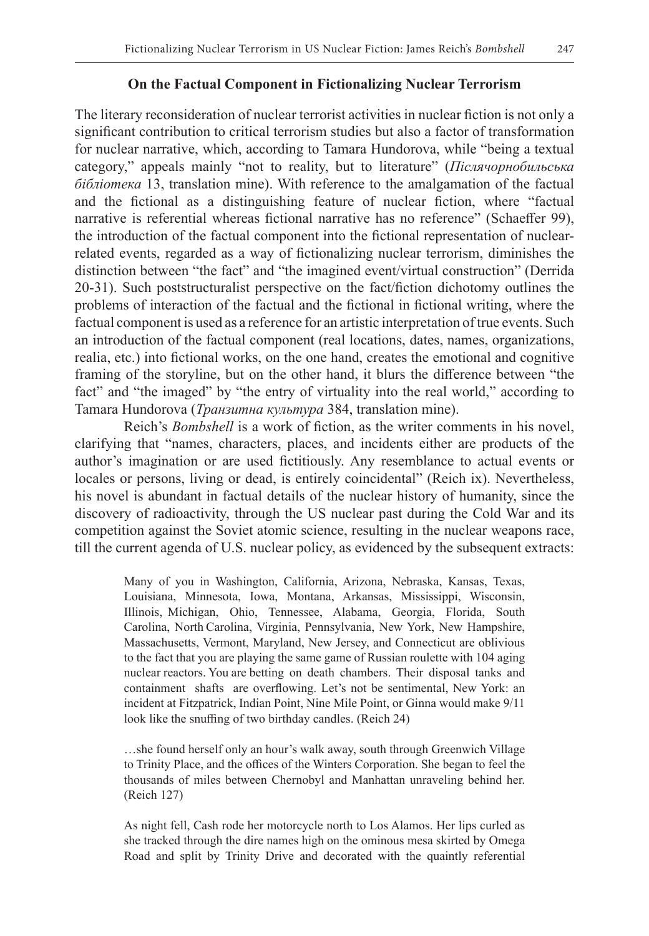### **On the Factual Component in Fictionalizing Nuclear Terrorism**

The literary reconsideration of nuclear terrorist activities in nuclear fiction is not only a significant contribution to critical terrorism studies but also a factor of transformation for nuclear narrative, which, according to Tamara Hundorova, while "being a textual category," appeals mainly "not to reality, but to literature" (*Післячорнобильська бібліотека* 13, translation mine). With reference to the amalgamation of the factual and the fictional as a distinguishing feature of nuclear fiction, where "factual narrative is referential whereas fictional narrative has no reference" (Schaeffer 99), the introduction of the factual component into the fictional representation of nuclearrelated events, regarded as a way of fictionalizing nuclear terrorism, diminishes the distinction between "the fact" and "the imagined event/virtual construction" (Derrida 20-31). Such poststructuralist perspective on the fact/fiction dichotomy outlines the problems of interaction of the factual and the fictional in fictional writing, where the factual component is used as a reference for an artistic interpretation of true events. Such an introduction of the factual component (real locations, dates, names, organizations, realia, etc.) into fictional works, on the one hand, creates the emotional and cognitive framing of the storyline, but on the other hand, it blurs the difference between "the fact" and "the imaged" by "the entry of virtuality into the real world," according to Tamara Hundorova (*Транзитна культура* 384, translation mine).

Reich's *Bombshell* is a work of fiction, as the writer comments in his novel, clarifying that "names, characters, places, and incidents either are products of the author's imagination or are used fictitiously. Any resemblance to actual events or locales or persons, living or dead, is entirely coincidental" (Reich ix). Nevertheless, his novel is abundant in factual details of the nuclear history of humanity, since the discovery of radioactivity, through the US nuclear past during the Cold War and its competition against the Soviet atomic science, resulting in the nuclear weapons race, till the current agenda of U.S. nuclear policy, as evidenced by the subsequent extracts:

Many of you in Washington, California, Arizona, Nebraska, Kansas, Texas, Louisiana, Minnesota, Iowa, Montana, Arkansas, Mississippi, Wisconsin, Illinois, Michigan, Ohio, Tennessee, Alabama, Georgia, Florida, South Carolina, North Carolina, Virginia, Pennsylvania, New York, New Hampshire, Massachusetts, Vermont, Maryland, New Jersey, and Connecticut are oblivious to the fact that you are playing the same game of Russian roulette with 104 aging nuclear reactors. You are betting on death chambers. Their disposal tanks and containment shafts are overflowing. Let's not be sentimental, New York: an incident at Fitzpatrick, Indian Point, Nine Mile Point, or Ginna would make 9/11 look like the snuffing of two birthday candles. (Reich 24)

…she found herself only an hour's walk away, south through Greenwich Village to Trinity Place, and the offices of the Winters Corporation. She began to feel the thousands of miles between Chernobyl and Manhattan unraveling behind her. (Reich 127)

As night fell, Cash rode her motorcycle north to Los Alamos. Her lips curled as she tracked through the dire names high on the ominous mesa skirted by Omega Road and split by Trinity Drive and decorated with the quaintly referential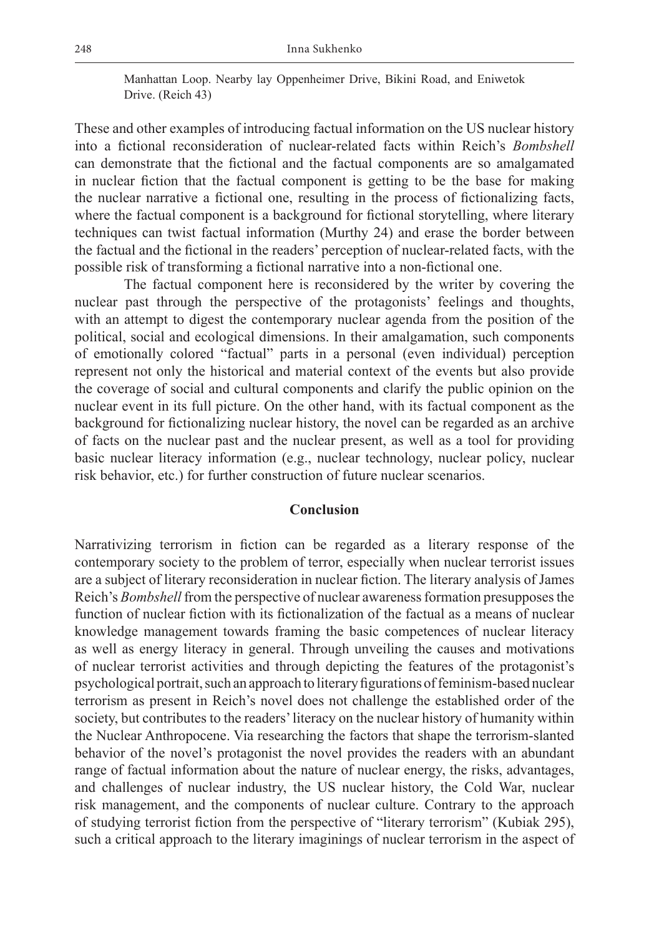Manhattan Loop. Nearby lay Oppenheimer Drive, Bikini Road, and Eniwetok Drive. (Reich 43)

These and other examples of introducing factual information on the US nuclear history into a fictional reconsideration of nuclear-related facts within Reich's *Bombshell* can demonstrate that the fictional and the factual components are so amalgamated in nuclear fiction that the factual component is getting to be the base for making the nuclear narrative a fictional one, resulting in the process of fictionalizing facts, where the factual component is a background for fictional storytelling, where literary techniques can twist factual information (Murthy 24) and erase the border between the factual and the fictional in the readers' perception of nuclear-related facts, with the possible risk of transforming a fictional narrative into a non-fictional one.

The factual component here is reconsidered by the writer by covering the nuclear past through the perspective of the protagonists' feelings and thoughts, with an attempt to digest the contemporary nuclear agenda from the position of the political, social and ecological dimensions. In their amalgamation, such components of emotionally colored "factual" parts in a personal (even individual) perception represent not only the historical and material context of the events but also provide the coverage of social and cultural components and clarify the public opinion on the nuclear event in its full picture. On the other hand, with its factual component as the background for fictionalizing nuclear history, the novel can be regarded as an archive of facts on the nuclear past and the nuclear present, as well as a tool for providing basic nuclear literacy information (e.g., nuclear technology, nuclear policy, nuclear risk behavior, etc.) for further construction of future nuclear scenarios.

#### **Conclusion**

Narrativizing terrorism in fiction can be regarded as a literary response of the contemporary society to the problem of terror, especially when nuclear terrorist issues are a subject of literary reconsideration in nuclear fiction. The literary analysis of James Reich's *Bombshell* from the perspective of nuclear awareness formation presupposes the function of nuclear fiction with its fictionalization of the factual as a means of nuclear knowledge management towards framing the basic competences of nuclear literacy as well as energy literacy in general. Through unveiling the causes and motivations of nuclear terrorist activities and through depicting the features of the protagonist's psychological portrait, such an approach to literary figurations of feminism-based nuclear terrorism as present in Reich's novel does not challenge the established order of the society, but contributes to the readers' literacy on the nuclear history of humanity within the Nuclear Anthropocene. Via researching the factors that shape the terrorism-slanted behavior of the novel's protagonist the novel provides the readers with an abundant range of factual information about the nature of nuclear energy, the risks, advantages, and challenges of nuclear industry, the US nuclear history, the Cold War, nuclear risk management, and the components of nuclear culture. Contrary to the approach of studying terrorist fiction from the perspective of "literary terrorism" (Kubiak 295), such a critical approach to the literary imaginings of nuclear terrorism in the aspect of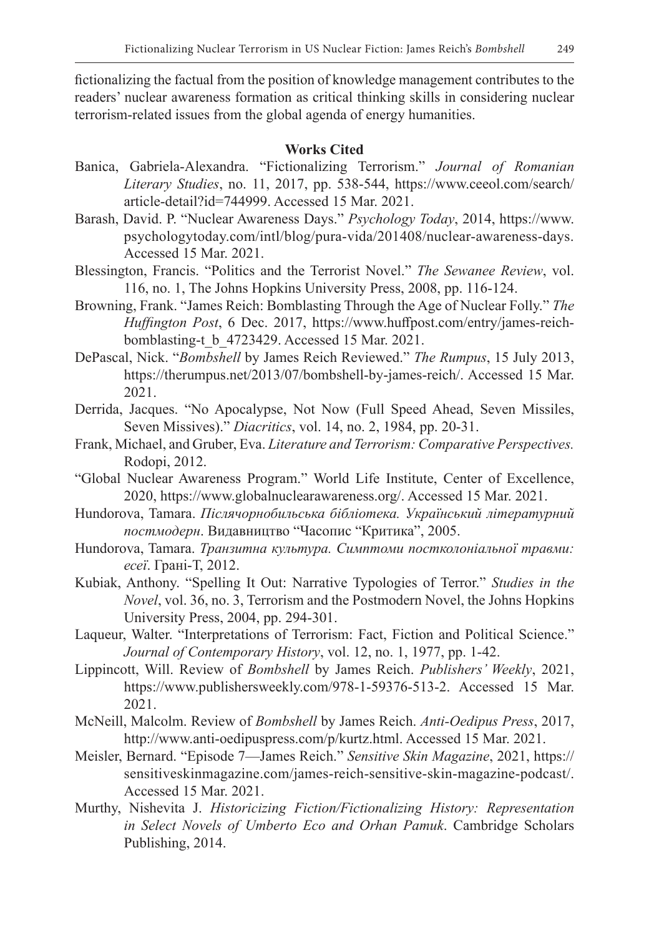fictionalizing the factual from the position of knowledge management contributes to the readers' nuclear awareness formation as critical thinking skills in considering nuclear terrorism-related issues from the global agenda of energy humanities.

## **Works Cited**

- Banica, Gabriela-Alexandra. "Fictionalizing Terrorism." *Journal of Romanian Literary Studies*, no. 11, 2017, pp. 538-544, https://www.ceeol.com/search/ article-detail?id=744999. Accessed 15 Mar. 2021.
- Barash, David. P. "Nuclear Awareness Days." *Psychology Today*, 2014, https://www. psychologytoday.com/intl/blog/pura-vida/201408/nuclear-awareness-days. Accessed 15 Mar. 2021.
- Blessington, Francis. "Politics and the Terrorist Novel." *The Sewanee Review*, vol. 116, no. 1, The Johns Hopkins University Press, 2008, pp. 116-124.
- Browning, Frank. "James Reich: Bomblasting Through the Age of Nuclear Folly." *The Huffington Post*, 6 Dec. 2017, https://www.huffpost.com/entry/james-reichbomblasting-t\_b\_4723429. Accessed 15 Mar. 2021.
- DePascal, Nick. "*Bombshell* by James Reich Reviewed." *The Rumpus*, 15 July 2013, https://therumpus.net/2013/07/bombshell-by-james-reich/. Accessed 15 Mar. 2021.
- Derrida, Jacques. "No Apocalypse, Not Now (Full Speed Ahead, Seven Missiles, Seven Missives)." *Diacritics*, vol. 14, no. 2, 1984, pp. 20-31.
- Frank, Michael, and Gruber, Eva. *Literature and Terrorism: Comparative Perspectives.* Rodopi, 2012.
- "Global Nuclear Awareness Program." World Life Institute, Center of Excellence, 2020, https://www.globalnuclearawareness.org/. Accessed 15 Mar. 2021.
- Hundorova, Tamara. *Післячорнобильська бібліотека. Український літературний постмодерн*. Видавництво "Часопис "Критика", 2005.
- Hundorova, Tamara. *Транзитна культура. Симптоми постколоніальної травми: есеї*. Грані-Т, 2012.
- Kubiak, Anthony. "Spelling It Out: Narrative Typologies of Terror." *Studies in the Novel*, vol. 36, no. 3, Terrorism and the Postmodern Novel, the Johns Hopkins University Press, 2004, pp. 294-301.
- Laqueur, Walter. "Interpretations of Terrorism: Fact, Fiction and Political Science." *Journal of Contemporary History*, vol. 12, no. 1, 1977, pp. 1-42.
- Lippincott, Will. Review of *Bombshell* by James Reich. *Publishers' Weekly*, 2021, https://www.publishersweekly.com/978-1-59376-513-2. Accessed 15 Mar. 2021.
- McNeill, Malcolm. Review of *Bombshell* by James Reich. *Anti-Oedipus Press*, 2017, http://www.anti-oedipuspress.com/p/kurtz.html. Accessed 15 Mar. 2021.
- Meisler, Bernard. "Episode 7—James Reich." *Sensitive Skin Magazine*, 2021, https:// sensitiveskinmagazine.com/james-reich-sensitive-skin-magazine-podcast/. Accessed 15 Mar. 2021.
- Murthy, Nishevita J. *Historicizing Fiction/Fictionalizing History: Representation in Select Novels of Umberto Eco and Orhan Pamuk*. Cambridge Scholars Publishing, 2014.